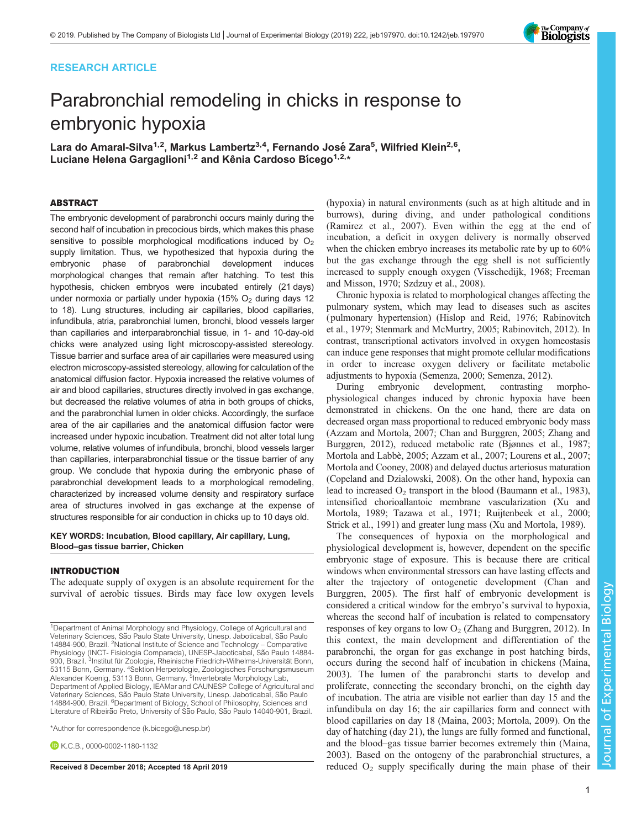## RESEARCH ARTICLE

# Parabronchial remodeling in chicks in response to embryonic hypoxia

Lara do Amaral-Silva<sup>1,2</sup>, Markus Lambertz<sup>3,4</sup>, Fernando José Zara<sup>5</sup>, Wilfried Klein<sup>2,6</sup>, Luciane Helena Gargaglioni<sup>1,2</sup> and Kênia Cardoso Bicego<sup>1,2,\*</sup>

#### ABSTRACT

The embryonic development of parabronchi occurs mainly during the second half of incubation in precocious birds, which makes this phase sensitive to possible morphological modifications induced by  $O<sub>2</sub>$ supply limitation. Thus, we hypothesized that hypoxia during the embryonic phase of parabronchial development induces morphological changes that remain after hatching. To test this hypothesis, chicken embryos were incubated entirely (21 days) under normoxia or partially under hypoxia (15%  $O<sub>2</sub>$  during days 12 to 18). Lung structures, including air capillaries, blood capillaries, infundibula, atria, parabronchial lumen, bronchi, blood vessels larger than capillaries and interparabronchial tissue, in 1- and 10-day-old chicks were analyzed using light microscopy-assisted stereology. Tissue barrier and surface area of air capillaries were measured using electron microscopy-assisted stereology, allowing for calculation of the anatomical diffusion factor. Hypoxia increased the relative volumes of air and blood capillaries, structures directly involved in gas exchange, but decreased the relative volumes of atria in both groups of chicks, and the parabronchial lumen in older chicks. Accordingly, the surface area of the air capillaries and the anatomical diffusion factor were increased under hypoxic incubation. Treatment did not alter total lung volume, relative volumes of infundibula, bronchi, blood vessels larger than capillaries, interparabronchial tissue or the tissue barrier of any group. We conclude that hypoxia during the embryonic phase of parabronchial development leads to a morphological remodeling, characterized by increased volume density and respiratory surface area of structures involved in gas exchange at the expense of structures responsible for air conduction in chicks up to 10 days old.

KEY WORDS: Incubation, Blood capillary, Air capillary, Lung, Blood–gas tissue barrier, Chicken

#### INTRODUCTION

The adequate supply of oxygen is an absolute requirement for the survival of aerobic tissues. Birds may face low oxygen levels

\*Author for correspondence [\(k.bicego@unesp.br\)](mailto:k.bicego@unesp.br)

**EK.C.B., [0000-0002-1180-1132](http://orcid.org/0000-0002-1180-1132)** 

(hypoxia) in natural environments (such as at high altitude and in burrows), during diving, and under pathological conditions [\(Ramirez et al., 2007](#page-8-0)). Even within the egg at the end of incubation, a deficit in oxygen delivery is normally observed when the chicken embryo increases its metabolic rate by up to 60% but the gas exchange through the egg shell is not sufficiently increased to supply enough oxygen ([Visschedijk, 1968](#page-8-0); [Freeman](#page-7-0) [and Misson, 1970](#page-7-0); [Szdzuy et al., 2008](#page-8-0)).

Chronic hypoxia is related to morphological changes affecting the pulmonary system, which may lead to diseases such as ascites ( pulmonary hypertension) ([Hislop and Reid, 1976](#page-7-0); [Rabinovitch](#page-8-0) [et al., 1979; Stenmark and McMurtry, 2005; Rabinovitch, 2012](#page-8-0)). In contrast, transcriptional activators involved in oxygen homeostasis can induce gene responses that might promote cellular modifications in order to increase oxygen delivery or facilitate metabolic adjustments to hypoxia ([Semenza, 2000; Semenza, 2012\)](#page-8-0).

During embryonic development, contrasting morphophysiological changes induced by chronic hypoxia have been demonstrated in chickens. On the one hand, there are data on decreased organ mass proportional to reduced embryonic body mass [\(Azzam and Mortola, 2007; Chan and Burggren, 2005](#page-7-0); [Zhang and](#page-8-0) [Burggren, 2012\)](#page-8-0), reduced metabolic rate ([Bjønnes et al., 1987](#page-7-0); Mortola and Labbè, 2005; Azzam et al., 2007; [Lourens et al., 2007](#page-7-0); [Mortola and Cooney, 2008](#page-7-0)) and delayed ductus arteriosus maturation [\(Copeland and Dzialowski, 2008\)](#page-7-0). On the other hand, hypoxia can lead to increased  $O_2$  transport in the blood ([Baumann et al., 1983\)](#page-7-0), intensified chorioallantoic membrane vascularization ([Xu and](#page-8-0) [Mortola, 1989](#page-8-0); [Tazawa et al., 1971; Ruijtenbeek et al., 2000](#page-8-0); [Strick et al., 1991](#page-8-0)) and greater lung mass ([Xu and Mortola, 1989](#page-8-0)).

The consequences of hypoxia on the morphological and physiological development is, however, dependent on the specific embryonic stage of exposure. This is because there are critical windows when environmental stressors can have lasting effects and alter the trajectory of ontogenetic development [\(Chan and](#page-7-0) [Burggren, 2005](#page-7-0)). The first half of embryonic development is considered a critical window for the embryo's survival to hypoxia, whereas the second half of incubation is related to compensatory responses of key organs to low  $O<sub>2</sub>$  [\(Zhang and Burggren, 2012](#page-8-0)). In this context, the main development and differentiation of the parabronchi, the organ for gas exchange in post hatching birds, occurs during the second half of incubation in chickens ([Maina,](#page-7-0) [2003\)](#page-7-0). The lumen of the parabronchi starts to develop and proliferate, connecting the secondary bronchi, on the eighth day of incubation. The atria are visible not earlier than day 15 and the infundibula on day 16; the air capillaries form and connect with blood capillaries on day 18 ([Maina, 2003; Mortola, 2009\)](#page-7-0). On the day of hatching (day 21), the lungs are fully formed and functional, and the blood–gas tissue barrier becomes extremely thin ([Maina,](#page-7-0) [2003\)](#page-7-0). Based on the ontogeny of the parabronchial structures, a Received 8 December 2018; Accepted 18 April 2019 reduced  $O_2$  supply specifically during the main phase of their



<sup>&</sup>lt;sup>1</sup>Department of Animal Morphology and Physiology, College of Agricultural and Veterinary Sciences, São Paulo State University, Unesp. Jaboticabal, São Paulo 14884-900, Brazil. <sup>2</sup>National Institute of Science and Technology - Comparative Physiology (INCT- Fisiologia Comparada), UNESP-Jaboticabal, São Paulo 14884-900, Brazil. <sup>3</sup>Institut für Zoologie, Rheinische Friedrich-Wilhelms-Universität Bonn,<br>53115 Bonn, Germany. <sup>4</sup>Sektion Herpetologie, Zoologisches Forschungsmuseum Alexander Koenig, 53113 Bonn, Germany. <sup>5</sup>Invertebrate Morphology Lab, Department of Applied Biology, IEAMar and CAUNESP College of Agricultural and Veterinary Sciences, São Paulo State University, Unesp. Jaboticabal, São Paulo 14884-900, Brazil. <sup>6</sup>Department of Biology, School of Philosophy, Sciences and Literature of Ribeirão Preto, University of São Paulo, São Paulo 14040-901, Brazil.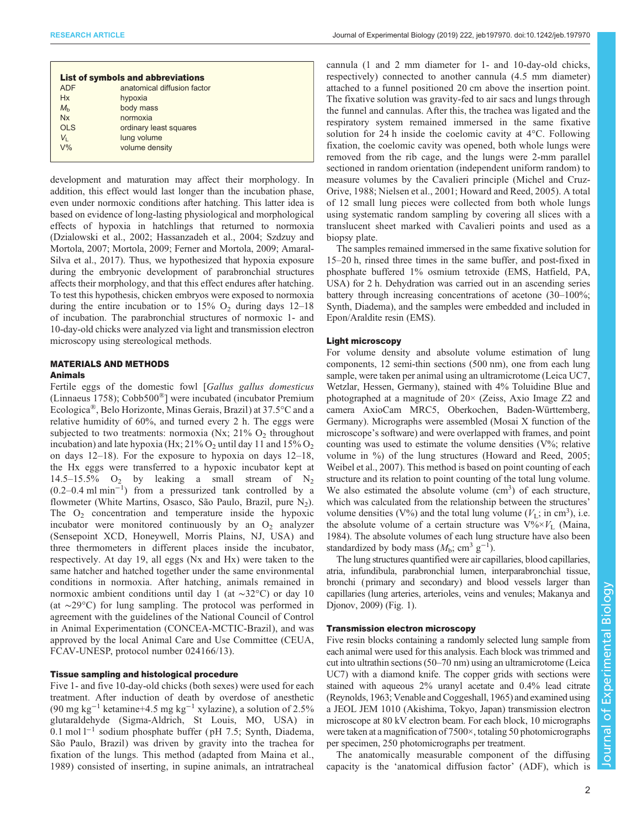| <b>List of symbols and abbreviations</b> |                             |  |  |  |
|------------------------------------------|-----------------------------|--|--|--|
| <b>ADF</b>                               | anatomical diffusion factor |  |  |  |
| Hx                                       | hypoxia                     |  |  |  |
| $M_h$                                    | body mass                   |  |  |  |
| Nx                                       | normoxia                    |  |  |  |
| OLS                                      | ordinary least squares      |  |  |  |
| V <sub>I</sub>                           | lung volume                 |  |  |  |
| $V\%$                                    | volume density              |  |  |  |
|                                          |                             |  |  |  |

development and maturation may affect their morphology. In addition, this effect would last longer than the incubation phase, even under normoxic conditions after hatching. This latter idea is based on evidence of long-lasting physiological and morphological effects of hypoxia in hatchlings that returned to normoxia [\(Dzialowski et al., 2002; Hassanzadeh et al., 2004](#page-7-0); [Szdzuy and](#page-8-0) [Mortola, 2007](#page-8-0); [Mortola, 2009; Ferner and Mortola, 2009; Amaral-](#page-7-0)[Silva et al., 2017\)](#page-7-0). Thus, we hypothesized that hypoxia exposure during the embryonic development of parabronchial structures affects their morphology, and that this effect endures after hatching. To test this hypothesis, chicken embryos were exposed to normoxia during the entire incubation or to  $15\%$  O<sub>2</sub> during days  $12-18$ of incubation. The parabronchial structures of normoxic 1- and 10-day-old chicks were analyzed via light and transmission electron microscopy using stereological methods.

## MATERIALS AND METHODS

#### Animals

Fertile eggs of the domestic fowl [Gallus gallus domesticus (Linnaeus 1758); Cobb500®] were incubated (incubator Premium Ecologica®, Belo Horizonte, Minas Gerais, Brazil) at 37.5°C and a relative humidity of 60%, and turned every 2 h. The eggs were subjected to two treatments: normoxia (Nx;  $21\%$  O<sub>2</sub> throughout incubation) and late hypoxia (Hx;  $21\%$  O<sub>2</sub> until day 11 and  $15\%$  O<sub>2</sub> on days 12–18). For the exposure to hypoxia on days 12–18, the Hx eggs were transferred to a hypoxic incubator kept at 14.5–15.5%  $O_2$  by leaking a small stream of  $N_2$ (0.2–0.4 ml min−<sup>1</sup> ) from a pressurized tank controlled by a flowmeter (White Martins, Osasco, São Paulo, Brazil, pure  $N_2$ ). The  $O_2$  concentration and temperature inside the hypoxic incubator were monitored continuously by an  $O_2$  analyzer (Sensepoint XCD, Honeywell, Morris Plains, NJ, USA) and three thermometers in different places inside the incubator, respectively. At day 19, all eggs (Nx and Hx) were taken to the same hatcher and hatched together under the same environmental conditions in normoxia. After hatching, animals remained in normoxic ambient conditions until day 1 (at ∼32°C) or day 10 (at ∼29°C) for lung sampling. The protocol was performed in agreement with the guidelines of the National Council of Control in Animal Experimentation (CONCEA-MCTIC-Brazil), and was approved by the local Animal Care and Use Committee (CEUA, FCAV-UNESP, protocol number 024166/13).

## Tissue sampling and histological procedure

Five 1- and five 10-day-old chicks (both sexes) were used for each treatment. After induction of death by overdose of anesthetic (90 mg kg<sup>-1</sup> ketamine+4.5 mg kg<sup>-1</sup> xylazine), a solution of 2.5% glutaraldehyde (Sigma-Aldrich, St Louis, MO, USA) in 0.1 mol l−<sup>1</sup> sodium phosphate buffer ( pH 7.5; Synth, Diadema, São Paulo, Brazil) was driven by gravity into the trachea for fixation of the lungs. This method (adapted from [Maina et al.,](#page-7-0) [1989](#page-7-0)) consisted of inserting, in supine animals, an intratracheal

cannula (1 and 2 mm diameter for 1- and 10-day-old chicks, respectively) connected to another cannula (4.5 mm diameter) attached to a funnel positioned 20 cm above the insertion point. The fixative solution was gravity-fed to air sacs and lungs through the funnel and cannulas. After this, the trachea was ligated and the respiratory system remained immersed in the same fixative solution for 24 h inside the coelomic cavity at 4°C. Following fixation, the coelomic cavity was opened, both whole lungs were removed from the rib cage, and the lungs were 2-mm parallel sectioned in random orientation (independent uniform random) to measure volumes by the Cavalieri principle [\(Michel and Cruz-](#page-7-0)[Orive, 1988](#page-7-0); [Nielsen et al., 2001; Howard and Reed, 2005\)](#page-7-0). A total of 12 small lung pieces were collected from both whole lungs using systematic random sampling by covering all slices with a translucent sheet marked with Cavalieri points and used as a biopsy plate.

The samples remained immersed in the same fixative solution for 15–20 h, rinsed three times in the same buffer, and post-fixed in phosphate buffered 1% osmium tetroxide (EMS, Hatfield, PA, USA) for 2 h. Dehydration was carried out in an ascending series battery through increasing concentrations of acetone (30–100%; Synth, Diadema), and the samples were embedded and included in Epon/Araldite resin (EMS).

#### Light microscopy

For volume density and absolute volume estimation of lung components, 12 semi-thin sections (500 nm), one from each lung sample, were taken per animal using an ultramicrotome (Leica UC7, Wetzlar, Hessen, Germany), stained with 4% Toluidine Blue and photographed at a magnitude of 20× (Zeiss, Axio Image Z2 and camera AxioCam MRC5, Oberkochen, Baden-Württemberg, Germany). Micrographs were assembled (Mosai X function of the microscope's software) and were overlapped with frames, and point counting was used to estimate the volume densities (V%; relative volume in %) of the lung structures [\(Howard and Reed, 2005](#page-7-0); [Weibel et al., 2007\)](#page-8-0). This method is based on point counting of each structure and its relation to point counting of the total lung volume. We also estimated the absolute volume (cm<sup>3</sup>) of each structure, which was calculated from the relationship between the structures' volume densities (V%) and the total lung volume ( $V<sub>L</sub>$ ; in cm<sup>3</sup>), i.e. the absolute volume of a certain structure was  $V\%~V_L$  ([Maina,](#page-7-0) [1984\)](#page-7-0). The absolute volumes of each lung structure have also been standardized by body mass  $(M_b; \text{ cm}^3 \text{ g}^{-1})$ .

The lung structures quantified were air capillaries, blood capillaries, atria, infundibula, parabronchial lumen, interparabronchial tissue, bronchi (primary and secondary) and blood vessels larger than capillaries (lung arteries, arterioles, veins and venules; [Makanya and](#page-7-0) [Djonov, 2009\)](#page-7-0) [\(Fig. 1\)](#page-2-0).

#### Transmission electron microscopy

Five resin blocks containing a randomly selected lung sample from each animal were used for this analysis. Each block was trimmed and cut into ultrathin sections (50–70 nm) using an ultramicrotome (Leica UC7) with a diamond knife. The copper grids with sections were stained with aqueous 2% uranyl acetate and 0.4% lead citrate [\(Reynolds, 1963](#page-8-0); [Venable and Coggeshall, 1965](#page-8-0)) and examined using a JEOL JEM 1010 (Akishima, Tokyo, Japan) transmission electron microscope at 80 kV electron beam. For each block, 10 micrographs were taken at a magnification of 7500×, totaling 50 photomicrographs per specimen, 250 photomicrographs per treatment.

The anatomically measurable component of the diffusing capacity is the 'anatomical diffusion factor' (ADF), which is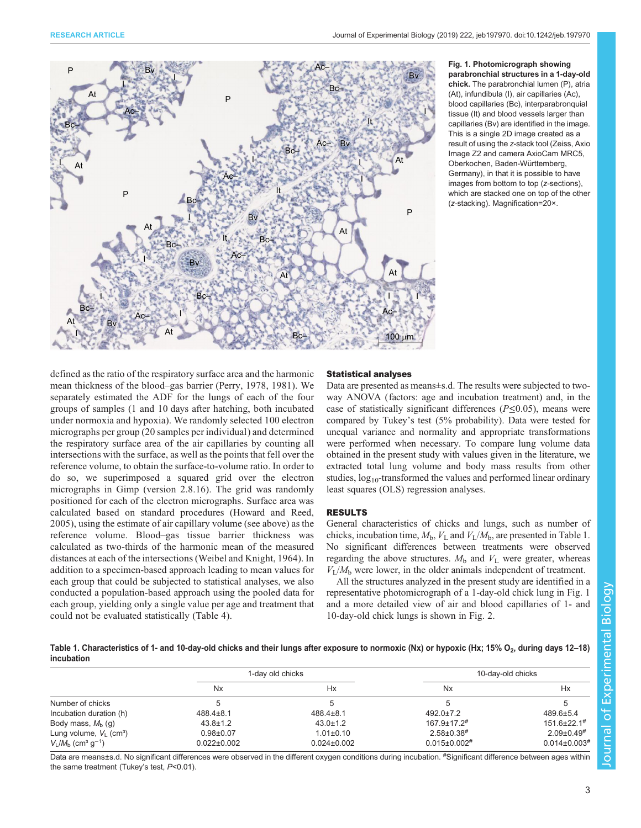<span id="page-2-0"></span>

#### Fig. 1. Photomicrograph showing parabronchial structures in a 1-day-old chick. The parabronchial lumen (P), atria (At), infundibula (I), air capillaries (Ac), blood capillaries (Bc), interparabronquial tissue (It) and blood vessels larger than capillaries (Bv) are identified in the image. This is a single 2D image created as a result of using the z-stack tool (Zeiss, Axio Image Z2 and camera AxioCam MRC5, Oberkochen, Baden-Württemberg, Germany), in that it is possible to have images from bottom to top (z-sections), which are stacked one on top of the other (z-stacking). Magnification=20×.

defined as the ratio of the respiratory surface area and the harmonic mean thickness of the blood–gas barrier [\(Perry, 1978](#page-7-0), [1981\)](#page-8-0). We separately estimated the ADF for the lungs of each of the four groups of samples (1 and 10 days after hatching, both incubated under normoxia and hypoxia). We randomly selected 100 electron micrographs per group (20 samples per individual) and determined the respiratory surface area of the air capillaries by counting all intersections with the surface, as well as the points that fell over the reference volume, to obtain the surface-to-volume ratio. In order to do so, we superimposed a squared grid over the electron micrographs in Gimp (version 2.8.16). The grid was randomly positioned for each of the electron micrographs. Surface area was calculated based on standard procedures ([Howard and Reed,](#page-7-0) [2005](#page-7-0)), using the estimate of air capillary volume (see above) as the reference volume. Blood–gas tissue barrier thickness was calculated as two-thirds of the harmonic mean of the measured distances at each of the intersections [\(Weibel and Knight, 1964\)](#page-8-0). In addition to a specimen-based approach leading to mean values for each group that could be subjected to statistical analyses, we also conducted a population-based approach using the pooled data for each group, yielding only a single value per age and treatment that could not be evaluated statistically [\(Table 4](#page-4-0)).

#### Statistical analyses

Data are presented as means±s.d. The results were subjected to twoway ANOVA (factors: age and incubation treatment) and, in the case of statistically significant differences ( $P \le 0.05$ ), means were compared by Tukey's test (5% probability). Data were tested for unequal variance and normality and appropriate transformations were performed when necessary. To compare lung volume data obtained in the present study with values given in the literature, we extracted total lung volume and body mass results from other studies, log<sub>10</sub>-transformed the values and performed linear ordinary least squares (OLS) regression analyses.

## RESULTS

General characteristics of chicks and lungs, such as number of chicks, incubation time,  $M_b$ ,  $V_L$  and  $V_L/M_b$ , are presented in Table 1. No significant differences between treatments were observed regarding the above structures.  $M<sub>b</sub>$  and  $V<sub>L</sub>$  were greater, whereas  $V_L/M_b$  were lower, in the older animals independent of treatment.

All the structures analyzed in the present study are identified in a representative photomicrograph of a 1-day-old chick lung in Fig. 1 and a more detailed view of air and blood capillaries of 1- and 10-day-old chick lungs is shown in [Fig. 2.](#page-3-0)

Table 1. Characteristics of 1- and 10-day-old chicks and their lungs after exposure to normoxic (Nx) or hypoxic (Hx; 15% O<sub>2</sub>, during days 12–18) incubation

|                                                    | 1-day old chicks     |                   | 10-day-old chicks              |                               |
|----------------------------------------------------|----------------------|-------------------|--------------------------------|-------------------------------|
|                                                    | <b>N<sub>x</sub></b> | Hx                | <b>N</b> <sub>x</sub>          | Hx                            |
| Number of chicks                                   |                      |                   |                                |                               |
| Incubation duration (h)                            | $488.4 \pm 8.1$      | $488.4 \pm 8.1$   | $492.0 \pm 7.2$                | 489.6±5.4                     |
| Body mass, $M_b$ (g)                               | $43.8 \pm 1.2$       | $43.0 \pm 1.2$    | $167.9 \pm 17.2$ <sup>#</sup>  | $151.6 \pm 22.1$ <sup>#</sup> |
| Lung volume, $V_1$ (cm <sup>3</sup> )              | $0.98 + 0.07$        | $1.01 \pm 0.10$   | $2.58 \pm 0.38$ #              | $2.09\pm0.49$ <sup>#</sup>    |
| $V_L/M_{\rm b}$ (cm <sup>3</sup> g <sup>-1</sup> ) | $0.022 \pm 0.002$    | $0.024 \pm 0.002$ | $0.015 \pm 0.002$ <sup>#</sup> | $0.014\pm0.003$ <sup>#</sup>  |

Data are means±s.d. No significant differences were observed in the different oxygen conditions during incubation. <sup>#</sup>Significant difference between ages within the same treatment (Tukey's test, P<0.01).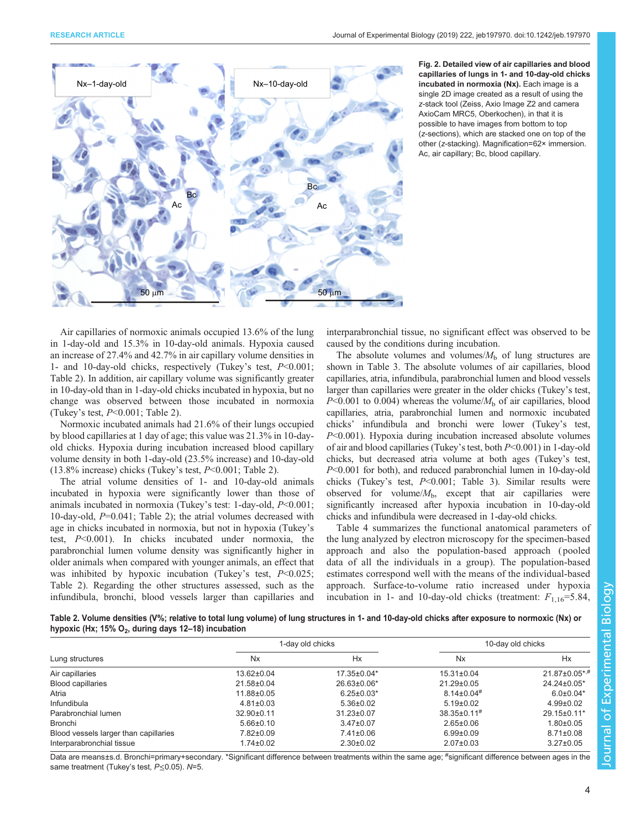<span id="page-3-0"></span>

Fig. 2. Detailed view of air capillaries and blood capillaries of lungs in 1- and 10-day-old chicks incubated in normoxia (Nx). Each image is a single 2D image created as a result of using the z-stack tool (Zeiss, Axio Image Z2 and camera AxioCam MRC5, Oberkochen), in that it is possible to have images from bottom to top (z-sections), which are stacked one on top of the other (z-stacking). Magnification=62× immersion. Ac, air capillary; Bc, blood capillary.

Air capillaries of normoxic animals occupied 13.6% of the lung in 1-day-old and 15.3% in 10-day-old animals. Hypoxia caused an increase of 27.4% and 42.7% in air capillary volume densities in 1- and 10-day-old chicks, respectively (Tukey's test, P<0.001; Table 2). In addition, air capillary volume was significantly greater in 10-day-old than in 1-day-old chicks incubated in hypoxia, but no change was observed between those incubated in normoxia (Tukey's test,  $P<0.001$ ; Table 2).

Normoxic incubated animals had 21.6% of their lungs occupied by blood capillaries at 1 day of age; this value was 21.3% in 10-dayold chicks. Hypoxia during incubation increased blood capillary volume density in both 1-day-old (23.5% increase) and 10-day-old (13.8% increase) chicks (Tukey's test, P<0.001; Table 2).

The atrial volume densities of 1- and 10-day-old animals incubated in hypoxia were significantly lower than those of animals incubated in normoxia (Tukey's test: 1-day-old, P<0.001; 10-day-old,  $P=0.041$ ; Table 2); the atrial volumes decreased with age in chicks incubated in normoxia, but not in hypoxia (Tukey's test, P<0.001). In chicks incubated under normoxia, the parabronchial lumen volume density was significantly higher in older animals when compared with younger animals, an effect that was inhibited by hypoxic incubation (Tukey's test,  $P<0.025$ ; Table 2). Regarding the other structures assessed, such as the infundibula, bronchi, blood vessels larger than capillaries and interparabronchial tissue, no significant effect was observed to be caused by the conditions during incubation.

The absolute volumes and volumes/ $M<sub>b</sub>$  of lung structures are shown in [Table 3](#page-4-0). The absolute volumes of air capillaries, blood capillaries, atria, infundibula, parabronchial lumen and blood vessels larger than capillaries were greater in the older chicks (Tukey's test,  $P<0.001$  to 0.004) whereas the volume/ $M<sub>b</sub>$  of air capillaries, blood capillaries, atria, parabronchial lumen and normoxic incubated chicks' infundibula and bronchi were lower (Tukey's test,  $P<0.001$ ). Hypoxia during incubation increased absolute volumes of air and blood capillaries (Tukey's test, both P<0.001) in 1-day-old chicks, but decreased atria volume at both ages (Tukey's test, P<0.001 for both), and reduced parabronchial lumen in 10-day-old chicks (Tukey's test,  $P<0.001$ ; [Table 3\)](#page-4-0). Similar results were observed for volume/ $M<sub>b</sub>$ , except that air capillaries were significantly increased after hypoxia incubation in 10-day-old chicks and infundibula were decreased in 1-day-old chicks.

[Table 4](#page-4-0) summarizes the functional anatomical parameters of the lung analyzed by electron microscopy for the specimen-based approach and also the population-based approach ( pooled data of all the individuals in a group). The population-based estimates correspond well with the means of the individual-based approach. Surface-to-volume ratio increased under hypoxia incubation in 1- and 10-day-old chicks (treatment:  $F_{1,16} = 5.84$ ,

| Table 2. Volume densities (V%; relative to total lung volume) of lung structures in 1- and 10-day-old chicks after exposure to normoxic (Nx) or |  |  |
|-------------------------------------------------------------------------------------------------------------------------------------------------|--|--|
| hypoxic (Hx; 15% $O_2$ , during days 12–18) incubation                                                                                          |  |  |

|                                       | 1-day old chicks |                  | 10-day old chicks             |                      |
|---------------------------------------|------------------|------------------|-------------------------------|----------------------|
| Lung structures                       | Nx               | Hx               | Nx                            | Hx                   |
| Air capillaries                       | 13.62±0.04       | 17.35±0.04*      | $15.31 \pm 0.04$              | $21.87 \pm 0.05$ *,# |
| <b>Blood capillaries</b>              | 21.58±0.04       | 26.63±0.06*      | 21.29±0.05                    | $24.24 \pm 0.05^*$   |
| Atria                                 | 11.88±0.05       | $6.25 \pm 0.03*$ | $8.14\pm0.04$ <sup>#</sup>    | $6.0 \pm 0.04*$      |
| Infundibula                           | $4.81 \pm 0.03$  | $5.36 \pm 0.02$  | $5.19 \pm 0.02$               | $4.99 \pm 0.02$      |
| Parabronchial lumen                   | 32.90±0.11       | $31.23 \pm 0.07$ | $38.35 \pm 0.11$ <sup>#</sup> | 29.15±0.11*          |
| Bronchi                               | $5.66 \pm 0.10$  | $3.47 \pm 0.07$  | $2.65 \pm 0.06$               | $1.80 \pm 0.05$      |
| Blood vessels larger than capillaries | 7.82±0.09        | $7.41 \pm 0.06$  | $6.99 \pm 0.09$               | $8.71 \pm 0.08$      |
| Interparabronchial tissue             | $1.74 \pm 0.02$  | $2.30 \pm 0.02$  | $2.07 \pm 0.03$               | $3.27 \pm 0.05$      |

Data are means±s.d. Bronchi=primary+secondary. \*Significant difference between treatments within the same age; # significant difference between ages in the same treatment (Tukey's test, P ≤ 0.05). N=5.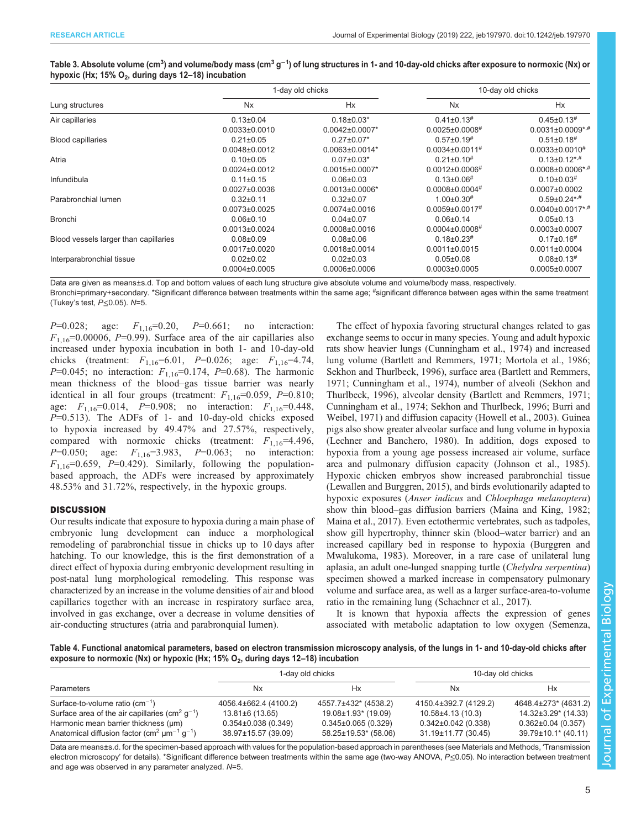<span id="page-4-0"></span>

|                                                                 | Table 3. Absolute volume (cm <sup>3</sup> ) and volume/body mass (cm <sup>3</sup> g <sup>-1</sup> ) of lung structures in 1- and 10-day-old chicks after exposure to normoxic (Nx) or |
|-----------------------------------------------------------------|---------------------------------------------------------------------------------------------------------------------------------------------------------------------------------------|
| hypoxic (Hx; 15% O <sub>2</sub> , during days 12–18) incubation |                                                                                                                                                                                       |

|                                       | 1-day old chicks    |                       | 10-day old chicks                |                                     |
|---------------------------------------|---------------------|-----------------------|----------------------------------|-------------------------------------|
| Lung structures                       | <b>Nx</b>           | <b>Hx</b>             | <b>Nx</b>                        | Hx                                  |
| Air capillaries                       | $0.13 \pm 0.04$     | $0.18 \pm 0.03*$      | $0.41 \pm 0.13$ <sup>#</sup>     | $0.45 \pm 0.13$ <sup>#</sup>        |
|                                       | $0.0033\pm0.0010$   | $0.0042\pm0.0007*$    | $0.0025 \pm 0.0008$ <sup>#</sup> | $0.0031 \pm 0.0009$ *,#             |
| <b>Blood capillaries</b>              | $0.21 \pm 0.05$     | $0.27 \pm 0.07*$      | $0.57\pm0.19$ <sup>#</sup>       | $0.51 \pm 0.18$ <sup>#</sup>        |
|                                       | $0.0048 \pm 0.0012$ | $0.0063 \pm 0.0014*$  | $0.0034\pm0.0011$ <sup>#</sup>   | $0.0033\pm0.0010^{#}$               |
| Atria                                 | $0.10 \pm 0.05$     | $0.07 \pm 0.03*$      | $0.21 \pm 0.10$ <sup>#</sup>     | $0.13 \pm 0.12$ *,#                 |
|                                       | $0.0024\pm0.0012$   | $0.0015 \pm 0.0007$ * | $0.0012\pm0.0006$ <sup>#</sup>   | $0.0008 \pm 0.0006$ * <sup>,#</sup> |
| Infundibula                           | $0.11 \pm 0.15$     | $0.06 \pm 0.03$       | $0.13 \pm 0.06$ <sup>#</sup>     | $0.10\pm0.03$ <sup>#</sup>          |
|                                       | $0.0027 \pm 0.0036$ | $0.0013\pm0.0006*$    | $0.0008 \pm 0.0004$ #            | $0.0007 \pm 0.0002$                 |
| Parabronchial lumen                   | $0.32 + 0.11$       | $0.32 \pm 0.07$       | $1.00 \pm 0.30$ <sup>#</sup>     | $0.59\pm0.24***$                    |
|                                       | $0.0073 \pm 0.0025$ | $0.0074\pm0.0016$     | $0.0059 \pm 0.0017$ <sup>#</sup> | $0.0040\pm0.0017$ *,#               |
| <b>Bronchi</b>                        | $0.06 \pm 0.10$     | $0.04 \pm 0.07$       | $0.06 \pm 0.14$                  | $0.05 \pm 0.13$                     |
|                                       | $0.0013\pm0.0024$   | $0.0008 \pm 0.0016$   | $0.0004\pm0.0008$ <sup>#</sup>   | $0.0003\pm0.0007$                   |
| Blood vessels larger than capillaries | $0.08 + 0.09$       | $0.08 \pm 0.06$       | $0.18 \pm 0.23$ <sup>#</sup>     | $0.17 \pm 0.16$ <sup>#</sup>        |
|                                       | $0.0017\pm0.0020$   | $0.0018 \pm 0.0014$   | $0.0011 \pm 0.0015$              | $0.0011 \pm 0.0004$                 |
| Interparabronchial tissue             | $0.02 \pm 0.02$     | $0.02 \pm 0.03$       | $0.05 \pm 0.08$                  | $0.08 \pm 0.13$ <sup>#</sup>        |
|                                       | $0.0004\pm0.0005$   | $0.0006 \pm 0.0006$   | $0.0003\pm0.0005$                | $0.0005 \pm 0.0007$                 |

Data are given as means±s.d. Top and bottom values of each lung structure give absolute volume and volume/body mass, respectively.

Bronchi=primary+secondary. \*Significant difference between treatments within the same age; <sup>#</sup>significant difference between ages within the same treatment (Tukey's test, P≤0.05). N=5.

 $P=0.028$ ; age:  $F_{1,16}=0.20$ ,  $P=0.661$ ; no interaction:  $F_{1,16}$ =0.00006, P=0.99). Surface area of the air capillaries also increased under hypoxia incubation in both 1- and 10-day-old chicks (treatment:  $F_{1,16} = 6.01$ ,  $P = 0.026$ ; age:  $F_{1,16} = 4.74$ ,  $P=0.045$ ; no interaction:  $F_{1,16}=0.174$ ,  $P=0.68$ ). The harmonic mean thickness of the blood–gas tissue barrier was nearly identical in all four groups (treatment:  $F_{1,16}$ =0.059, P=0.810; age:  $F_{1,16} = 0.014$ ,  $P = 0.908$ ; no interaction:  $F_{1,16} = 0.448$ ,  $P=0.513$ ). The ADFs of 1- and 10-day-old chicks exposed to hypoxia increased by 49.47% and 27.57%, respectively, compared with normoxic chicks (treatment:  $F_{1,16} = 4.496$ ,  $P=0.050$ ; age:  $F_{1,16}=3.983$ ,  $P=0.063$ ; no interaction:  $F_{1,16}$ =0.659, P=0.429). Similarly, following the populationbased approach, the ADFs were increased by approximately 48.53% and 31.72%, respectively, in the hypoxic groups.

## **DISCUSSION**

Our results indicate that exposure to hypoxia during a main phase of embryonic lung development can induce a morphological remodeling of parabronchial tissue in chicks up to 10 days after hatching. To our knowledge, this is the first demonstration of a direct effect of hypoxia during embryonic development resulting in post-natal lung morphological remodeling. This response was characterized by an increase in the volume densities of air and blood capillaries together with an increase in respiratory surface area, involved in gas exchange, over a decrease in volume densities of air-conducting structures (atria and parabronquial lumen).

The effect of hypoxia favoring structural changes related to gas exchange seems to occur in many species. Young and adult hypoxic rats show heavier lungs [\(Cunningham et al., 1974](#page-7-0)) and increased lung volume [\(Bartlett and Remmers, 1971; Mortola et al., 1986](#page-7-0); [Sekhon and Thurlbeck, 1996](#page-8-0)), surface area [\(Bartlett and Remmers,](#page-7-0) [1971; Cunningham et al., 1974\)](#page-7-0), number of alveoli [\(Sekhon and](#page-8-0) [Thurlbeck, 1996\)](#page-8-0), alveolar density ([Bartlett and Remmers, 1971](#page-7-0); [Cunningham et al., 1974](#page-7-0); [Sekhon and Thurlbeck, 1996](#page-8-0); [Burri and](#page-7-0) [Weibel, 1971\)](#page-7-0) and diffusion capacity [\(Howell et al., 2003\)](#page-7-0). Guinea pigs also show greater alveolar surface and lung volume in hypoxia [\(Lechner and Banchero, 1980](#page-7-0)). In addition, dogs exposed to hypoxia from a young age possess increased air volume, surface area and pulmonary diffusion capacity [\(Johnson et al., 1985\)](#page-7-0). Hypoxic chicken embryos show increased parabronchial tissue [\(Lewallen and Burggren, 2015\)](#page-7-0), and birds evolutionarily adapted to hypoxic exposures (*Anser indicus* and *Chloephaga melanoptera*) show thin blood–gas diffusion barriers [\(Maina and King, 1982](#page-7-0); [Maina et al., 2017\)](#page-7-0). Even ectothermic vertebrates, such as tadpoles, show gill hypertrophy, thinner skin (blood–water barrier) and an increased capillary bed in response to hypoxia ([Burggren and](#page-7-0) [Mwalukoma, 1983\)](#page-7-0). Moreover, in a rare case of unilateral lung aplasia, an adult one-lunged snapping turtle (Chelydra serpentina) specimen showed a marked increase in compensatory pulmonary volume and surface area, as well as a larger surface-area-to-volume ratio in the remaining lung ([Schachner et al., 2017\)](#page-8-0).

It is known that hypoxia affects the expression of genes associated with metabolic adaptation to low oxygen ([Semenza,](#page-8-0)

Table 4. Functional anatomical parameters, based on electron transmission microscopy analysis, of the lungs in 1- and 10-day-old chicks after exposure to normoxic (Nx) or hypoxic (Hx; 15%  $O_2$ , during days 12–18) incubation

|                                                                                                                                                       | 1-day old chicks                                                    |                                                                        | 10-day old chicks                                                     |                                                                         |
|-------------------------------------------------------------------------------------------------------------------------------------------------------|---------------------------------------------------------------------|------------------------------------------------------------------------|-----------------------------------------------------------------------|-------------------------------------------------------------------------|
| Parameters                                                                                                                                            | Nx                                                                  | Hx                                                                     | Nx                                                                    | Нx                                                                      |
| Surface-to-volume ratio $\text{(cm}^{-1})$<br>Surface area of the air capillaries (cm <sup>2</sup> $q^{-1}$ )<br>Harmonic mean barrier thickness (um) | 4056.4±662.4 (4100.2)<br>13.81±6 (13.65)<br>$0.354\pm0.038$ (0.349) | 4557.7±432* (4538.2)<br>19.08±1.93* (19.09)<br>$0.345\pm0.065$ (0.329) | 4150.4±392.7 (4129.2)<br>10.58±4.13 (10.3)<br>$0.342\pm0.042$ (0.338) | 4648.4±273* (4631.2)<br>14.32±3.29* (14.33)<br>$0.362 \pm 0.04$ (0.357) |
| Anatomical diffusion factor (cm <sup>2</sup> $\mu$ m <sup>-1</sup> g <sup>-1</sup> )                                                                  | 38.97±15.57 (39.09)                                                 | 58.25±19.53* (58.06)                                                   | 31.19±11.77 (30.45)                                                   | 39.79±10.1* (40.11)                                                     |

Data are means±s.d. for the specimen-based approach with values for the population-based approach in parentheses (see Materials and Methods, 'Transmission electron microscopy' for details). \*Significant difference between treatments within the same age (two-way ANOVA, P≤0.05). No interaction between treatment and age was observed in any parameter analyzed. N=5.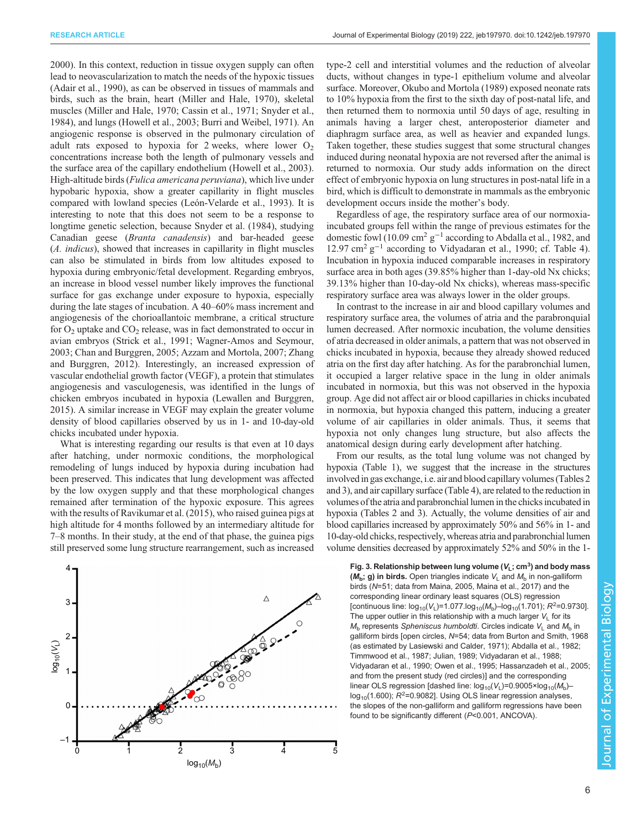<span id="page-5-0"></span>[2000](#page-8-0)). In this context, reduction in tissue oxygen supply can often lead to neovascularization to match the needs of the hypoxic tissues [\(Adair et al., 1990](#page-6-0)), as can be observed in tissues of mammals and birds, such as the brain, heart ([Miller and Hale, 1970\)](#page-7-0), skeletal muscles [\(Miller and Hale, 1970](#page-7-0); [Cassin et al., 1971](#page-7-0); [Snyder et al.,](#page-8-0) [1984](#page-8-0)), and lungs [\(Howell et al., 2003; Burri and Weibel, 1971\)](#page-7-0). An angiogenic response is observed in the pulmonary circulation of adult rats exposed to hypoxia for 2 weeks, where lower  $O<sub>2</sub>$ concentrations increase both the length of pulmonary vessels and the surface area of the capillary endothelium [\(Howell et al., 2003\)](#page-7-0). High-altitude birds (Fulica americana peruviana), which live under hypobaric hypoxia, show a greater capillarity in flight muscles compared with lowland species [\(León-Velarde et al., 1993\)](#page-7-0). It is interesting to note that this does not seem to be a response to longtime genetic selection, because [Snyder et al. \(1984\)](#page-8-0), studying Canadian geese (Branta canadensis) and bar-headed geese (A. indicus), showed that increases in capillarity in flight muscles can also be stimulated in birds from low altitudes exposed to hypoxia during embryonic/fetal development. Regarding embryos, an increase in blood vessel number likely improves the functional surface for gas exchange under exposure to hypoxia, especially during the late stages of incubation. A 40–60% mass increment and angiogenesis of the chorioallantoic membrane, a critical structure for  $O_2$  uptake and  $CO_2$  release, was in fact demonstrated to occur in avian embryos ([Strick et al., 1991](#page-8-0); [Wagner-Amos and Seymour,](#page-8-0) [2003](#page-8-0); [Chan and Burggren, 2005](#page-7-0); [Azzam and Mortola, 2007](#page-7-0); [Zhang](#page-8-0) [and Burggren, 2012\)](#page-8-0). Interestingly, an increased expression of vascular endothelial growth factor (VEGF), a protein that stimulates angiogenesis and vasculogenesis, was identified in the lungs of chicken embryos incubated in hypoxia [\(Lewallen and Burggren,](#page-7-0) [2015](#page-7-0)). A similar increase in VEGF may explain the greater volume density of blood capillaries observed by us in 1- and 10-day-old chicks incubated under hypoxia.

What is interesting regarding our results is that even at 10 days after hatching, under normoxic conditions, the morphological remodeling of lungs induced by hypoxia during incubation had been preserved. This indicates that lung development was affected by the low oxygen supply and that these morphological changes remained after termination of the hypoxic exposure. This agrees with the results of [Ravikumar et al. \(2015\),](#page-8-0) who raised guinea pigs at high altitude for 4 months followed by an intermediary altitude for 7–8 months. In their study, at the end of that phase, the guinea pigs still preserved some lung structure rearrangement, such as increased



type-2 cell and interstitial volumes and the reduction of alveolar ducts, without changes in type-1 epithelium volume and alveolar surface. Moreover, [Okubo and Mortola \(1989\)](#page-7-0) exposed neonate rats to 10% hypoxia from the first to the sixth day of post-natal life, and then returned them to normoxia until 50 days of age, resulting in animals having a larger chest, anteroposterior diameter and diaphragm surface area, as well as heavier and expanded lungs. Taken together, these studies suggest that some structural changes induced during neonatal hypoxia are not reversed after the animal is returned to normoxia. Our study adds information on the direct effect of embryonic hypoxia on lung structures in post-natal life in a bird, which is difficult to demonstrate in mammals as the embryonic development occurs inside the mother's body.

Regardless of age, the respiratory surface area of our normoxiaincubated groups fell within the range of previous estimates for the domestic fowl (10.09 cm2 g−<sup>1</sup> according to [Abdalla et al., 1982](#page-6-0), and 12.97 cm<sup>2</sup> g−<sup>1</sup> according to [Vidyadaran et al., 1990;](#page-8-0) cf. [Table 4\)](#page-4-0). Incubation in hypoxia induced comparable increases in respiratory surface area in both ages (39.85% higher than 1-day-old Nx chicks; 39.13% higher than 10-day-old Nx chicks), whereas mass-specific respiratory surface area was always lower in the older groups.

In contrast to the increase in air and blood capillary volumes and respiratory surface area, the volumes of atria and the parabronquial lumen decreased. After normoxic incubation, the volume densities of atria decreased in older animals, a pattern that was not observed in chicks incubated in hypoxia, because they already showed reduced atria on the first day after hatching. As for the parabronchial lumen, it occupied a larger relative space in the lung in older animals incubated in normoxia, but this was not observed in the hypoxia group. Age did not affect air or blood capillaries in chicks incubated in normoxia, but hypoxia changed this pattern, inducing a greater volume of air capillaries in older animals. Thus, it seems that hypoxia not only changes lung structure, but also affects the anatomical design during early development after hatching.

From our results, as the total lung volume was not changed by hypoxia [\(Table 1\)](#page-2-0), we suggest that the increase in the structures involved in gas exchange, i.e. air and blood capillary volumes ([Tables 2](#page-3-0) and [3\)](#page-4-0), and air capillary surface ([Table 4](#page-4-0)), are related to the reduction in volumes of the atria and parabronchial lumen in the chicks incubated in hypoxia ([Tables 2](#page-3-0) and [3](#page-4-0)). Actually, the volume densities of air and blood capillaries increased by approximately 50% and 56% in 1- and 10-day-old chicks, respectively, whereas atria and parabronchial lumen volume densities decreased by approximately 52% and 50% in the 1-

 $(M_h; g)$  in birds. Open triangles indicate  $V_1$  and  $M_h$  in non-galliform birds (N=51; data from [Maina, 2005](#page-7-0), [Maina et al., 2017\)](#page-7-0) and the corresponding linear ordinary least squares (OLS) regression [continuous line:  $log_{10}(V_L)$ =1.077.log<sub>10</sub>( $M_b$ )–log<sub>10</sub>(1.701);  $R^2$ =0.9730]. The upper outlier in this relationship with a much larger  $V_L$  for its  $M<sub>b</sub>$  represents Spheniscus humboldti. Circles indicate  $V<sub>L</sub>$  and  $M<sub>b</sub>$  in galliform birds [open circles, N=54; data from [Burton and Smith, 1968](#page-7-0) (as estimated by [Lasiewski and Calder, 1971\)](#page-7-0); [Abdalla et al., 1982;](#page-6-0) [Timmwood et al., 1987;](#page-8-0) [Julian, 1989](#page-7-0); [Vidyadaran et al., 1988;](#page-8-0) [Vidyadaran et al., 1990;](#page-8-0) [Owen et al., 1995](#page-7-0); [Hassanzadeh et al., 2005;](#page-7-0) and from the present study (red circles)] and the corresponding linear OLS regression [dashed line:  $log_{10}(V_L)$ =0.9005×log<sub>10</sub>( $M_b$ )–  $log_{10}(1.600)$ ;  $R^2$ =0.9082]. Using OLS linear regression analyses, the slopes of the non-galliform and galliform regressions have been found to be significantly different (P<0.001, ANCOVA).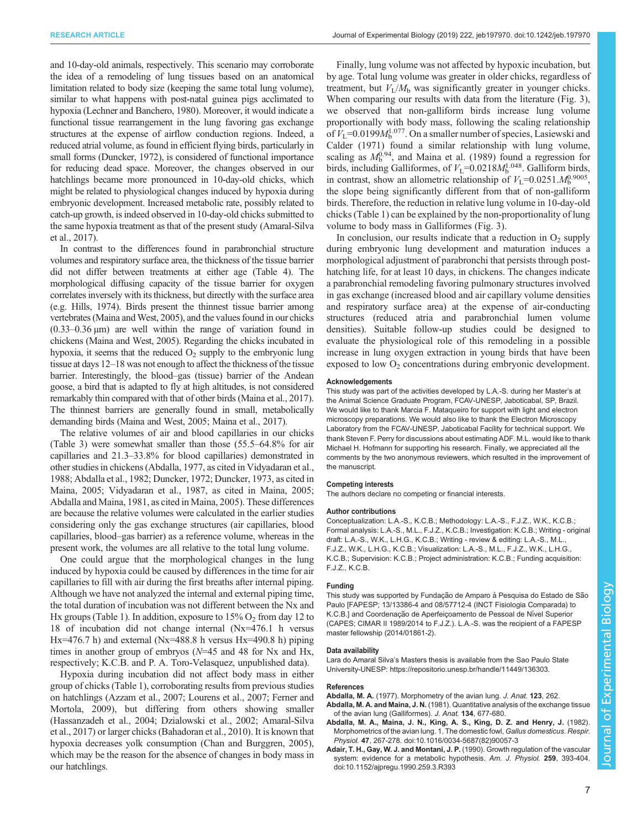<span id="page-6-0"></span>and 10-day-old animals, respectively. This scenario may corroborate the idea of a remodeling of lung tissues based on an anatomical limitation related to body size (keeping the same total lung volume), similar to what happens with post-natal guinea pigs acclimated to hypoxia [\(Lechner and Banchero, 1980\)](#page-7-0). Moreover, it would indicate a functional tissue rearrangement in the lung favoring gas exchange structures at the expense of airflow conduction regions. Indeed, a reduced atrial volume, as found in efficient flying birds, particularly in small forms ([Duncker, 1972](#page-7-0)), is considered of functional importance for reducing dead space. Moreover, the changes observed in our hatchlings became more pronounced in 10-day-old chicks, which might be related to physiological changes induced by hypoxia during embryonic development. Increased metabolic rate, possibly related to catch-up growth, is indeed observed in 10-day-old chicks submitted to the same hypoxia treatment as that of the present study [\(Amaral-Silva](#page-7-0) [et al., 2017\)](#page-7-0).

In contrast to the differences found in parabronchial structure volumes and respiratory surface area, the thickness of the tissue barrier did not differ between treatments at either age [\(Table 4\)](#page-4-0). The morphological diffusing capacity of the tissue barrier for oxygen correlates inversely with its thickness, but directly with the surface area (e.g. [Hills, 1974\)](#page-7-0). Birds present the thinnest tissue barrier among vertebrates [\(Maina and West, 2005\)](#page-7-0), and the values found in our chicks  $(0.33-0.36 \,\mu m)$  are well within the range of variation found in chickens [\(Maina and West, 2005\)](#page-7-0). Regarding the chicks incubated in hypoxia, it seems that the reduced  $O_2$  supply to the embryonic lung tissue at days 12–18 was not enough to affect the thickness of the tissue barrier. Interestingly, the blood–gas (tissue) barrier of the Andean goose, a bird that is adapted to fly at high altitudes, is not considered remarkably thin compared with that of other birds [\(Maina et al., 2017\)](#page-7-0). The thinnest barriers are generally found in small, metabolically demanding birds ([Maina and West, 2005; Maina et al., 2017](#page-7-0)).

The relative volumes of air and blood capillaries in our chicks [\(Table 3](#page-4-0)) were somewhat smaller than those (55.5–64.8% for air capillaries and 21.3–33.8% for blood capillaries) demonstrated in other studies in chickens (Abdalla, 1977, as cited in [Vidyadaran et al.,](#page-8-0) [1988;](#page-8-0) Abdalla et al., 1982; [Duncker, 1972; Duncker, 1973,](#page-7-0) as cited in [Maina, 2005](#page-7-0); [Vidyadaran et al., 1987](#page-8-0), as cited in [Maina, 2005](#page-7-0); Abdalla and Maina, 1981, as cited in [Maina, 2005\)](#page-7-0). These differences are because the relative volumes were calculated in the earlier studies considering only the gas exchange structures (air capillaries, blood capillaries, blood–gas barrier) as a reference volume, whereas in the present work, the volumes are all relative to the total lung volume.

One could argue that the morphological changes in the lung induced by hypoxia could be caused by differences in the time for air capillaries to fill with air during the first breaths after internal piping. Although we have not analyzed the internal and external piping time, the total duration of incubation was not different between the Nx and Hx groups ([Table 1](#page-2-0)). In addition, exposure to  $15\%$  O<sub>2</sub> from day 12 to 18 of incubation did not change internal (Nx=476.1 h versus Hx=476.7 h) and external (Nx=488.8 h versus Hx=490.8 h) piping times in another group of embryos  $(N=45$  and 48 for Nx and Hx, respectively; K.C.B. and P. A. Toro-Velasquez, unpublished data).

Hypoxia during incubation did not affect body mass in either group of chicks ([Table 1](#page-2-0)), corroborating results from previous studies on hatchlings ([Azzam et al., 2007; Lourens et al., 2007; Ferner and](#page-7-0) [Mortola, 2009](#page-7-0)), but differing from others showing smaller [\(Hassanzadeh et al., 2004; Dzialowski et al., 2002](#page-7-0); [Amaral-Silva](#page-7-0) [et al., 2017](#page-7-0)) or larger chicks [\(Bahadoran et al., 2010\)](#page-7-0). It is known that hypoxia decreases yolk consumption ([Chan and Burggren, 2005\)](#page-7-0), which may be the reason for the absence of changes in body mass in our hatchlings.

Finally, lung volume was not affected by hypoxic incubation, but by age. Total lung volume was greater in older chicks, regardless of treatment, but  $V<sub>I</sub>/M<sub>b</sub>$  was significantly greater in younger chicks. When comparing our results with data from the literature ([Fig. 3\)](#page-5-0), we observed that non-galliform birds increase lung volume proportionally with body mass, following the scaling relationship of  $V_L$ =0.0199 $M_b^{1.077}$ . On a smaller number of species, [Lasiewski and](#page-7-0) [Calder \(1971\)](#page-7-0) found a similar relationship with lung volume, scaling as  $M_b^{0.94}$ , and [Maina et al. \(1989\)](#page-7-0) found a regression for birds, including Galliformes, of  $V_L$ =0.0218 $M_b^{1.048}$ . Galliform birds, in contrast, show an allometric relationship of  $V_L$ =0.0251. $M_b^{0.9005}$ , the slope being significantly different from that of non-galliform birds. Therefore, the reduction in relative lung volume in 10-day-old chicks ([Table 1\)](#page-2-0) can be explained by the non-proportionality of lung volume to body mass in Galliformes [\(Fig. 3\)](#page-5-0).

In conclusion, our results indicate that a reduction in  $O_2$  supply during embryonic lung development and maturation induces a morphological adjustment of parabronchi that persists through posthatching life, for at least 10 days, in chickens. The changes indicate a parabronchial remodeling favoring pulmonary structures involved in gas exchange (increased blood and air capillary volume densities and respiratory surface area) at the expense of air-conducting structures (reduced atria and parabronchial lumen volume densities). Suitable follow-up studies could be designed to evaluate the physiological role of this remodeling in a possible increase in lung oxygen extraction in young birds that have been exposed to low  $O<sub>2</sub>$  concentrations during embryonic development.

#### Acknowledgements

This study was part of the activities developed by L.A.-S. during her Master's at the Animal Science Graduate Program, FCAV-UNESP, Jaboticabal, SP, Brazil. We would like to thank Marcia F. Mataqueiro for support with light and electron microscopy preparations. We would also like to thank the Electron Microscopy Laboratory from the FCAV-UNESP, Jaboticabal Facility for technical support. We thank Steven F. Perry for discussions about estimating ADF. M.L. would like to thank Michael H. Hofmann for supporting his research. Finally, we appreciated all the comments by the two anonymous reviewers, which resulted in the improvement of the manuscript.

#### Competing interests

The authors declare no competing or financial interests.

#### Author contributions

Conceptualization: L.A.-S., K.C.B.; Methodology: L.A.-S., F.J.Z., W.K., K.C.B.; Formal analysis: L.A.-S., M.L., F.J.Z., K.C.B.; Investigation: K.C.B.; Writing - original draft: L.A.-S., W.K., L.H.G., K.C.B.; Writing - review & editing: L.A.-S., M.L., F.J.Z., W.K., L.H.G., K.C.B.; Visualization: L.A.-S., M.L., F.J.Z., W.K., L.H.G., K.C.B.; Supervision: K.C.B.; Project administration: K.C.B.; Funding acquisition: F.J.Z., K.C.B.

#### Funding

This study was supported by Fundação de Amparo à Pesquisa do Estado de São Paulo [FAPESP; 13/13386-4 and 08/57712-4 (INCT Fisiologia Comparada) to K.C.B.] and Coordenação de Aperfeiçoamento de Pessoal de Nível Superior (CAPES; CIMAR II 1989/2014 to F.J.Z.). L.A.-S. was the recipient of a FAPESP master fellowship (2014/01861-2).

#### Data availability

Lara do Amaral Silva's Masters thesis is available from the Sao Paulo State University-UNESP: [https://repositorio.unesp.br/handle/11449/136303.](https://repositorio.unesp.br/handle/11449/136303)

#### References

- Abdalla, M. A. (1977). Morphometry of the avian lung. J. Anat. 123, 262. Abdalla, M. A. and Maina, J. N. (1981). Quantitative analysis of the exchange tissue of the avian lung (Galliformes). J. Anat. 134, 677-680.
- [Abdalla, M. A., Maina, J. N., King, A. S., King, D. Z. and Henry, J.](https://doi.org/10.1016/0034-5687(82)90057-3) (1982). [Morphometrics of the avian lung. 1. The domestic fowl,](https://doi.org/10.1016/0034-5687(82)90057-3) Gallus domesticus. Respir. Physiol. 47[, 267-278. doi:10.1016/0034-5687\(82\)90057-3](https://doi.org/10.1016/0034-5687(82)90057-3)
- [Adair, T. H., Gay, W. J. and Montani, J. P.](https://doi.org/10.1152/ajpregu.1990.259.3.R393) (1990). Growth regulation of the vascular [system: evidence for a metabolic hypothesis.](https://doi.org/10.1152/ajpregu.1990.259.3.R393) Am. J. Physiol. 259, 393-404 [doi:10.1152/ajpregu.1990.259.3.R393](https://doi.org/10.1152/ajpregu.1990.259.3.R393)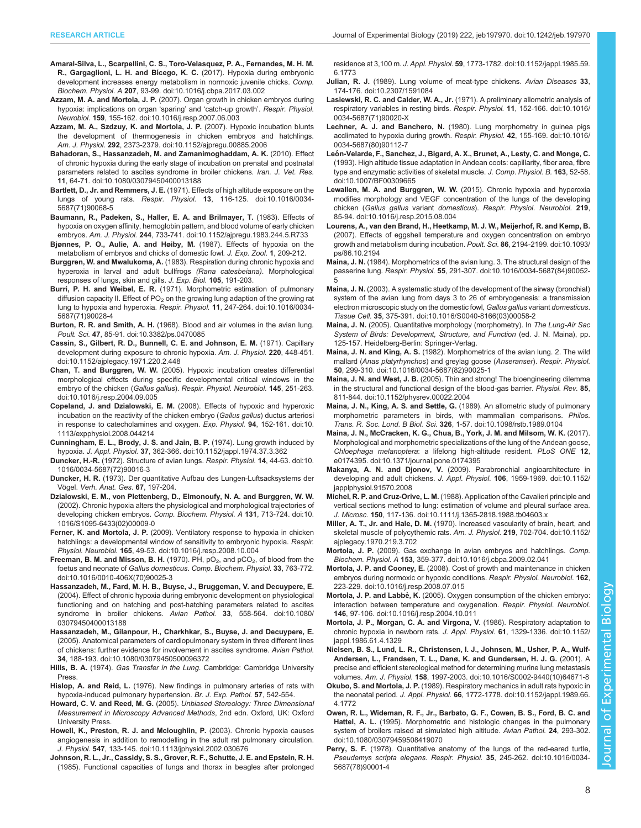- <span id="page-7-0"></span>[Amaral-Silva, L., Scarpellini, C. S., Toro-Velasquez, P. A., Fernandes, M. H. M.](https://doi.org/10.1016/j.cbpa.2017.03.002) R., Gargaglioni, L. H. and Bicego, K. C. [\(2017\). Hypoxia during embryonic](https://doi.org/10.1016/j.cbpa.2017.03.002) [development increases energy metabolism in normoxic juvenile chicks.](https://doi.org/10.1016/j.cbpa.2017.03.002) Comp. Biochem. Physiol. A 207[, 93-99. doi:10.1016/j.cbpa.2017.03.002](https://doi.org/10.1016/j.cbpa.2017.03.002)
- Azzam, M. A. and Mortola, J. P. [\(2007\). Organ growth in chicken embryos during](https://doi.org/10.1016/j.resp.2007.06.003) [hypoxia: implications on organ](https://doi.org/10.1016/j.resp.2007.06.003) 'sparing' and 'catch-up growth'. Respir. Physiol. Neurobiol. 159[, 155-162. doi:10.1016/j.resp.2007.06.003](https://doi.org/10.1016/j.resp.2007.06.003)
- [Azzam, M. A., Szdzuy, K. and Mortola, J. P.](https://doi.org/10.1152/ajpregu.00885.2006) (2007). Hypoxic incubation blunts [the development of thermogenesis in chicken embryos and hatchlings.](https://doi.org/10.1152/ajpregu.00885.2006) Am. J. Physiol. 292[, 2373-2379. doi:10.1152/ajpregu.00885.2006](https://doi.org/10.1152/ajpregu.00885.2006)
- [Bahadoran, S., Hassanzadeh, M. and Zamanimoghaddam, A. K.](https://doi.org/10.1080/03079450400013188) (2010). Effect [of chronic hypoxia during the early stage of incubation on prenatal and postnatal](https://doi.org/10.1080/03079450400013188) [parameters related to ascites syndrome in broiler chickens](https://doi.org/10.1080/03079450400013188). Iran. J. Vet. Res. 11[, 64-71. doi:10.1080/03079450400013188](https://doi.org/10.1080/03079450400013188)
- Bartlett, D., Jr. and Remmers, J. E. [\(1971\). Effects of high altitude exposure on the](https://doi.org/10.1016/0034-5687(71)90068-5) lungs of young rats. Respir. Physiol. 13[, 116-125. doi:10.1016/0034-](https://doi.org/10.1016/0034-5687(71)90068-5) [5687\(71\)90068-5](https://doi.org/10.1016/0034-5687(71)90068-5)
- [Baumann, R., Padeken, S., Haller, E. A. and Brilmayer, T.](https://doi.org/10.1152/ajpregu.1983.244.5.R733) (1983). Effects of [hypoxia on oxygen affinity, hemoglobin pattern, and blood volume of early chicken](https://doi.org/10.1152/ajpregu.1983.244.5.R733) embryos. Am. J. Physiol. 244[, 733-741. doi:10.1152/ajpregu.1983.244.5.R733](https://doi.org/10.1152/ajpregu.1983.244.5.R733)
- Bjønnes, P. O., Aulie, A. and Høiby, M. (1987). Effects of hypoxia on the metabolism of embryos and chicks of domestic fowl. J. Exp. Zool. 1, 209-212.
- Burggren, W. and Mwalukoma, A. (1983). Respiration during chronic hypoxia and hyperoxia in larval and adult bullfrogs (Rana catesbeiana). Morphological responses of lungs, skin and gills. J. Exp. Biol. 105, 191-203.
- Burri, P. H. and Weibel, E. R. [\(1971\). Morphometric estimation of pulmonary](https://doi.org/10.1016/0034-5687(71)90028-4) diffusion capacity II. Effect of  $PO<sub>2</sub>$  [on the growing lung adaption of the growing rat](https://doi.org/10.1016/0034-5687(71)90028-4) [lung to hypoxia and hyperoxia.](https://doi.org/10.1016/0034-5687(71)90028-4) Respir. Physiol. 11, 247-264. doi:10.1016/0034- [5687\(71\)90028-4](https://doi.org/10.1016/0034-5687(71)90028-4)
- Burton, R. R. and Smith, A. H. [\(1968\). Blood and air volumes in the avian lung.](https://doi.org/10.3382/ps.0470085) Poult. Sci. 47[, 85-91. doi:10.3382/ps.0470085](https://doi.org/10.3382/ps.0470085)
- [Cassin, S., Gilbert, R. D., Bunnell, C. E. and Johnson, E. M.](https://doi.org/10.1152/ajplegacy.1971.220.2.448) (1971). Capillary [development during exposure to chronic hypoxia.](https://doi.org/10.1152/ajplegacy.1971.220.2.448) Am. J. Physiol. 220, 448-451. [doi:10.1152/ajplegacy.1971.220.2.448](https://doi.org/10.1152/ajplegacy.1971.220.2.448)
- Chan, T. and Burggren, W. W. [\(2005\). Hypoxic incubation creates differential](https://doi.org/10.1016/j.resp.2004.09.005) [morphological effects during specific developmental critical windows in the](https://doi.org/10.1016/j.resp.2004.09.005) embryo of the chicken (Gallus gallus). [Respir. Physiol. Neurobiol.](https://doi.org/10.1016/j.resp.2004.09.005) 145, 251-263. [doi:10.1016/j.resp.2004.09.005](https://doi.org/10.1016/j.resp.2004.09.005)
- Copeland, J. and Dzialowski, E. M. [\(2008\). Effects of hypoxic and hyperoxic](https://doi.org/10.1113/expphysiol.2008.044214) [incubation on the reactivity of the chicken embryo \(](https://doi.org/10.1113/expphysiol.2008.044214)Gallus gallus) ductus arteriosi [in response to catecholamines and oxygen.](https://doi.org/10.1113/expphysiol.2008.044214) Exp. Physiol. 94, 152-161. doi:10. [1113/expphysiol.2008.044214](https://doi.org/10.1113/expphysiol.2008.044214)
- [Cunningham, E. L., Brody, J. S. and Jain, B. P.](https://doi.org/10.1152/jappl.1974.37.3.362) (1974). Lung growth induced by hypoxia. J. Appl. Physiol. 37[, 362-366. doi:10.1152/jappl.1974.37.3.362](https://doi.org/10.1152/jappl.1974.37.3.362)
- Duncker, H.-R. [\(1972\). Structure of avian lungs.](https://doi.org/10.1016/0034-5687(72)90016-3) Respir. Physiol. 14, 44-63. doi:10. [1016/0034-5687\(72\)90016-3](https://doi.org/10.1016/0034-5687(72)90016-3)
- Duncker, H. R. (1973). Der quantitative Aufbau des Lungen-Luftsacksystems der Vögel. Verh. Anat. Ges. 67, 197-204.
- [Dzialowski, E. M., von Plettenberg, D., Elmonoufy, N. A. and Burggren, W. W.](https://doi.org/10.1016/S1095-6433(02)00009-0) [\(2002\). Chronic hypoxia alters the physiological and morphological trajectories of](https://doi.org/10.1016/S1095-6433(02)00009-0) [developing chicken embryos.](https://doi.org/10.1016/S1095-6433(02)00009-0) Comp. Biochem. Physiol. A 131, 713-724. doi:10. [1016/S1095-6433\(02\)00009-0](https://doi.org/10.1016/S1095-6433(02)00009-0)
- Ferner, K. and Mortola, J. P. [\(2009\). Ventilatory response to hypoxia in chicken](https://doi.org/10.1016/j.resp.2008.10.004) [hatchlings: a developmental window of sensitivity to embryonic hypoxia.](https://doi.org/10.1016/j.resp.2008.10.004) Respir. Physiol. Neurobiol. 165[, 49-53. doi:10.1016/j.resp.2008.10.004](https://doi.org/10.1016/j.resp.2008.10.004)
- [Freeman, B. M. and Misson, B. H.](https://doi.org/10.1016/0010-406X(70)90025-3) (1970). PH,  $pO_2$ , and  $pCO_2$ , of blood from the foetus and neonate of Gallus domesticus. [Comp. Biochem. Physiol.](https://doi.org/10.1016/0010-406X(70)90025-3) 33, 763-772. [doi:10.1016/0010-406X\(70\)90025-3](https://doi.org/10.1016/0010-406X(70)90025-3)
- [Hassanzadeh, M., Fard, M. H. B., Buyse, J., Bruggeman, V. and Decuypere, E.](https://doi.org/10.1080/03079450400013188) [\(2004\). Effect of chronic hypoxia during embryonic development on physiological](https://doi.org/10.1080/03079450400013188) [functioning and on hatching and post-hatching parameters related to ascites](https://doi.org/10.1080/03079450400013188) [syndrome in broiler chickens](https://doi.org/10.1080/03079450400013188). Avian Pathol. 33, 558-564. doi:10.1080/ [03079450400013188](https://doi.org/10.1080/03079450400013188)
- [Hassanzadeh, M., Gilanpour, H., Charkhkar, S., Buyse, J. and Decuypere, E.](https://doi.org/10.1080/03079450500096372) [\(2005\). Anatomical parameters of cardiopulmonary system in three different lines](https://doi.org/10.1080/03079450500096372) [of chickens: further evidence for involvement in ascites syndrome.](https://doi.org/10.1080/03079450500096372) Avian Pathol. 34[, 188-193. doi:10.1080/03079450500096372](https://doi.org/10.1080/03079450500096372)
- Hills, B. A. (1974). Gas Transfer in the Lung. Cambridge: Cambridge University Press.
- Hislop, A. and Reid, L. (1976). New findings in pulmonary arteries of rats with hypoxia-induced pulmonary hypertension. Br. J. Exp. Pathol. 57, 542-554.
- Howard, C. V. and Reed, M. G. (2005). Unbiased Stereology: Three Dimensional Measurement in Microscopy Advanced Methods, 2nd edn. Oxford, UK: Oxford University Press.
- [Howell, K., Preston, R. J. and Mcloughlin, P.](https://doi.org/10.1113/jphysiol.2002.030676) (2003). Chronic hypoxia causes [angiogenesis in addition to remodelling in the adult rat pulmonary circulation.](https://doi.org/10.1113/jphysiol.2002.030676) J. Physiol. 547[, 133-145. doi:10.1113/jphysiol.2002.030676](https://doi.org/10.1113/jphysiol.2002.030676)
- [Johnson, R. L., Jr., Cassidy, S. S., Grover, R. F., Schutte, J. E. and Epstein, R. H.](https://doi.org/10.1152/jappl.1985.59.6.1773) [\(1985\). Functional capacities of lungs and thorax in beagles after prolonged](https://doi.org/10.1152/jappl.1985.59.6.1773)

residence at 3,100 m. J. Appl. Physiol. 59[, 1773-1782. doi:10.1152/jappl.1985.59.](https://doi.org/10.1152/jappl.1985.59.6.1773) [6.1773](https://doi.org/10.1152/jappl.1985.59.6.1773)

- Julian, R. J. [\(1989\). Lung volume of meat-type chickens.](https://doi.org/10.2307/1591084) Avian Diseases 33, [174-176. doi:10.2307/1591084](https://doi.org/10.2307/1591084)
- Lasiewski, R. C. and Calder, W. A., Jr. [\(1971\). A preliminary allometric analysis of](https://doi.org/10.1016/0034-5687(71)90020-X) [respiratory variables in resting birds.](https://doi.org/10.1016/0034-5687(71)90020-X) Respir. Physiol. 11, 152-166. doi:10.1016/ [0034-5687\(71\)90020-X](https://doi.org/10.1016/0034-5687(71)90020-X)
- Lechner, A. J. and Banchero, N. [\(1980\). Lung morphometry in guinea pigs](https://doi.org/10.1016/0034-5687(80)90112-7) [acclimated to hypoxia during growth.](https://doi.org/10.1016/0034-5687(80)90112-7) Respir. Physiol. 42, 155-169. doi:10.1016/ [0034-5687\(80\)90112-7](https://doi.org/10.1016/0034-5687(80)90112-7)
- Leó[n-Velarde, F., Sanchez, J., Bigard, A. X., Brunet, A., Lesty, C. and Monge, C.](https://doi.org/10.1007/BF00309665) [\(1993\). High altitude tissue adaptation in Andean coots: capillarity, fiber area, fibre](https://doi.org/10.1007/BF00309665) [type and enzymatic activities of skeletal muscle.](https://doi.org/10.1007/BF00309665) J. Comp. Physiol. B. 163, 52-58. [doi:10.1007/BF00309665](https://doi.org/10.1007/BF00309665)
- [Lewallen, M. A. and Burggren, W. W.](https://doi.org/10.1016/j.resp.2015.08.004) (2015). Chronic hypoxia and hyperoxia [modifies morphology and VEGF concentration of the lungs of the developing](https://doi.org/10.1016/j.resp.2015.08.004) chicken (Gallus gallus variant domesticus). [Respir. Physiol. Neurobiol.](https://doi.org/10.1016/j.resp.2015.08.004) 219, [85-94. doi:10.1016/j.resp.2015.08.004](https://doi.org/10.1016/j.resp.2015.08.004)
- [Lourens, A., van den Brand, H., Heetkamp, M. J. W., Meijerhof, R. and Kemp, B.](https://doi.org/10.1093/ps/86.10.2194) [\(2007\). Effects of eggshell temperature and oxygen concentration on embryo](https://doi.org/10.1093/ps/86.10.2194) [growth and metabolism during incubation](https://doi.org/10.1093/ps/86.10.2194). Poult. Sci. 86, 2194-2199. doi:10.1093/ [ps/86.10.2194](https://doi.org/10.1093/ps/86.10.2194)
- Maina, J. N. [\(1984\). Morphometrics of the avian lung. 3. The structural design of the](https://doi.org/10.1016/0034-5687(84)90052-5) passerine lung. Respir. Physiol. 55[, 291-307. doi:10.1016/0034-5687\(84\)90052-](https://doi.org/10.1016/0034-5687(84)90052-5) [5](https://doi.org/10.1016/0034-5687(84)90052-5)
- Maina, J. N. [\(2003\). A systematic study of the development of the airway \(bronchial\)](https://doi.org/10.1016/S0040-8166(03)00058-2) [system of the avian lung from days 3 to 26 of embryogenesis: a transmission](https://doi.org/10.1016/S0040-8166(03)00058-2) [electron microscopic study on the domestic fowl,](https://doi.org/10.1016/S0040-8166(03)00058-2) Gallus gallus variant domesticus. Tissue Cell. 35[, 375-391. doi:10.1016/S0040-8166\(03\)00058-2](https://doi.org/10.1016/S0040-8166(03)00058-2)
- Maina, J. N. (2005). Quantitative morphology (morphometry). In The Lung-Air Sac System of Birds: Development, Structure, and Function (ed. J. N. Maina), pp. 125-157. Heidelberg-Berlin: Springer-Verlag.
- Maina, J. N. and King, A. S. [\(1982\). Morphometrics of the avian lung. 2. The wild](https://doi.org/10.1016/0034-5687(82)90025-1) mallard (Anas platyrhynchos[\) and greylag goose \(](https://doi.org/10.1016/0034-5687(82)90025-1)Anseranser). Respir. Physiol. 50[, 299-310. doi:10.1016/0034-5687\(82\)90025-1](https://doi.org/10.1016/0034-5687(82)90025-1)
- Maina, J. N. and West, J. B. [\(2005\). Thin and strong! The bioengineering dilemma](https://doi.org/10.1152/physrev.00022.2004) [in the structural and functional design of the blood-gas barrier.](https://doi.org/10.1152/physrev.00022.2004) Physiol. Rev. 85, [811-844. doi:10.1152/physrev.00022.2004](https://doi.org/10.1152/physrev.00022.2004)
- Maina, J. N., King, A. S. and Settle, G. [\(1989\). An allometric study of pulmonary](https://doi.org/10.1098/rstb.1989.0104) [morphometric parameters in birds, with mammalian comparisons.](https://doi.org/10.1098/rstb.1989.0104) Philos. Trans. R. Soc. Lond. B Biol. Sci. 326[, 1-57. doi:10.1098/rstb.1989.0104](https://doi.org/10.1098/rstb.1989.0104)
- [Maina, J. N., McCracken, K. G., Chua, B., York, J. M. and Milsom, W. K.](https://doi.org/10.1371/journal.pone.0174395) (2017). [Morphological and morphometric specializations of the lung of the Andean goose,](https://doi.org/10.1371/journal.pone.0174395) Chloephaga melanoptera[: a lifelong high-altitude resident.](https://doi.org/10.1371/journal.pone.0174395) PLoS ONE 12, [e0174395. doi:10.1371/journal.pone.0174395](https://doi.org/10.1371/journal.pone.0174395)
- Makanya, A. N. and Djonov, V. [\(2009\). Parabronchial angioarchitecture in](https://doi.org/10.1152/japplphysiol.91570.2008) [developing and adult chickens.](https://doi.org/10.1152/japplphysiol.91570.2008) J. Appl. Physiol. 106, 1959-1969. doi:10.1152/ [japplphysiol.91570.2008](https://doi.org/10.1152/japplphysiol.91570.2008)
- Michel, R. P. and Cruz-Orive, L. M. [\(1988\). Application of the Cavalieri principle and](https://doi.org/10.1111/j.1365-2818.1988.tb04603.x) [vertical sections method to lung: estimation of volume and pleural surface area](https://doi.org/10.1111/j.1365-2818.1988.tb04603.x). J. Microsc. 150[, 117-136. doi:10.1111/j.1365-2818.1988.tb04603.x](https://doi.org/10.1111/j.1365-2818.1988.tb04603.x)
- Miller, A. T., Jr. and Hale, D. M. [\(1970\). Increased vascularity of brain, heart, and](https://doi.org/10.1152/ajplegacy.1970.219.3.702) [skeletal muscle of polycythemic rats.](https://doi.org/10.1152/ajplegacy.1970.219.3.702) Am. J. Physiol. 219, 702-704. doi:10.1152/ [ajplegacy.1970.219.3.702](https://doi.org/10.1152/ajplegacy.1970.219.3.702)
- Mortola, J. P. [\(2009\). Gas exchange in avian embryos and hatchlings.](https://doi.org/10.1016/j.cbpa.2009.02.041) Comp. Biochem. Physiol. A 153[, 359-377. doi:10.1016/j.cbpa.2009.02.041](https://doi.org/10.1016/j.cbpa.2009.02.041)
- Mortola, J. P. and Cooney, E. [\(2008\). Cost of growth and maintenance in chicken](https://doi.org/10.1016/j.resp.2008.07.015) [embryos during normoxic or hypoxic conditions.](https://doi.org/10.1016/j.resp.2008.07.015) Respir. Physiol. Neurobiol. 162, [223-229. doi:10.1016/j.resp.2008.07.015](https://doi.org/10.1016/j.resp.2008.07.015)
- Mortola, J. P. and Labbè, K. [\(2005\). Oxygen consumption of the chicken embryo:](https://doi.org/10.1016/j.resp.2004.10.011) [interaction between temperature and oxygenation.](https://doi.org/10.1016/j.resp.2004.10.011) Respir. Physiol. Neurobiol. 146[, 97-106. doi:10.1016/j.resp.2004.10.011](https://doi.org/10.1016/j.resp.2004.10.011)
- [Mortola, J. P., Morgan, C. A. and Virgona, V.](https://doi.org/10.1152/jappl.1986.61.4.1329) (1986). Respiratory adaptation to [chronic hypoxia in newborn rats.](https://doi.org/10.1152/jappl.1986.61.4.1329) J. Appl. Physiol. 61, 1329-1336. doi:10.1152/ [jappl.1986.61.4.1329](https://doi.org/10.1152/jappl.1986.61.4.1329)
- [Nielsen, B. S., Lund, L. R., Christensen, I. J., Johnsen, M., Usher, P. A., Wulf-](https://doi.org/10.1016/S0002-9440(10)64671-8)[Andersen, L., Frandsen, T. L., Danø, K. and Gundersen, H. J. G.](https://doi.org/10.1016/S0002-9440(10)64671-8) (2001). A [precise and efficient stereological method for determining murine lung metastasis](https://doi.org/10.1016/S0002-9440(10)64671-8) volumes. Am. J. Physiol. 158[, 1997-2003. doi:10.1016/S0002-9440\(10\)64671-8](https://doi.org/10.1016/S0002-9440(10)64671-8)
- Okubo, S. and Mortola, J. P. [\(1989\). Respiratory mechanics in adult rats hypoxic in](https://doi.org/10.1152/jappl.1989.66.4.1772) the neonatal period. J. Appl. Physiol. 66[, 1772-1778. doi:10.1152/jappl.1989.66.](https://doi.org/10.1152/jappl.1989.66.4.1772) [4.1772](https://doi.org/10.1152/jappl.1989.66.4.1772)
- [Owen, R. L., Wideman, R. F., Jr., Barbato, G. F., Cowen, B. S., Ford, B. C. and](https://doi.org/10.1080/03079459508419070) Hattel, A. L. [\(1995\). Morphometric and histologic changes in the pulmonary](https://doi.org/10.1080/03079459508419070) [system of broilers raised at simulated high altitude.](https://doi.org/10.1080/03079459508419070) Avian Pathol. 24, 293-302. [doi:10.1080/03079459508419070](https://doi.org/10.1080/03079459508419070)
- Perry, S. F. [\(1978\). Quantitative anatomy of the lungs of the red-eared turtle,](https://doi.org/10.1016/0034-5687(78)90001-4) Pseudemys scripta elegans. Respir. Physiol. 35[, 245-262. doi:10.1016/0034-](https://doi.org/10.1016/0034-5687(78)90001-4) [5687\(78\)90001-4](https://doi.org/10.1016/0034-5687(78)90001-4)